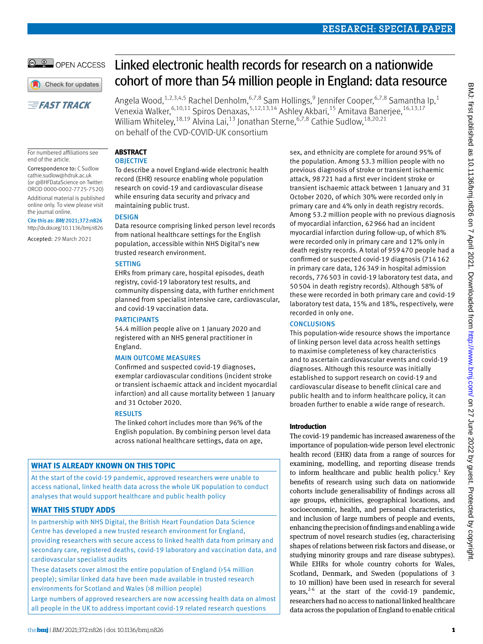Linked electronic health records for research on a nationwide cohort of more than 54 million people in England: data resource

Angela Wood, <sup>1,2,3,4,5</sup> Rachel Denholm, <sup>6,7,8</sup> Sam Hollings, <sup>9</sup> Jennifer Cooper, <sup>6,7,8</sup> Samantha Ip, <sup>1</sup> Venexia Walker, <sup>6,10,11</sup> Spiros Denaxas, <sup>5,12,13,14</sup> Ashley Akbari, <sup>15</sup> Amitava Banerjee, <sup>16,13,17</sup> William Whiteley, <sup>18,19</sup> Alvina Lai, <sup>13</sup> Jonathan Sterne, <sup>6,7,8</sup> Cathie Sudlow, <sup>18,20,21</sup> on behalf of the CVD-COVID-UK consortium

#### **Abstract OBJECTIVE**

For numbered affiliations see end of the article.

**EFAST TRACK** 

© © OPEN ACCESS

Check for updates

Correspondence to: C Sudlow [cathie.sudlow@hdruk.ac.uk](mailto:cathie.sudlow@hdruk.ac.uk)  (or [@BHFDataScience](https://twitter.com/BHFDataScience) on Twitter: ORCID [0000-0002-7725-7520\)](http://orcid.org/0000-0002-7725-7520) Additional material is published online only. To view please visit

Cite this as: *BMJ* 2021;372:n826 http://dx.doi.org/10.1136/bmj.n826 Accepted: 29 March 2021

the journal online.

To describe a novel England-wide electronic health record (EHR) resource enabling whole population research on covid-19 and cardiovascular disease while ensuring data security and privacy and maintaining public trust.

## **DESIGN**

Data resource comprising linked person level records from national healthcare settings for the English population, accessible within NHS Digital's new trusted research environment.

## **SETTING**

EHRs from primary care, hospital episodes, death registry, covid-19 laboratory test results, and community dispensing data, with further enrichment planned from specialist intensive care, cardiovascular, and covid-19 vaccination data.

## **PARTICIPANTS**

54.4 million people alive on 1 January 2020 and registered with an NHS general practitioner in England.

#### Main outcome measures

Confirmed and suspected covid-19 diagnoses, exemplar cardiovascular conditions (incident stroke or transient ischaemic attack and incident myocardial infarction) and all cause mortality between 1 January and 31 October 2020.

#### **RESULTS**

The linked cohort includes more than 96% of the English population. By combining person level data across national healthcare settings, data on age,

# **What is already known on this topic**

At the start of the covid-19 pandemic, approved researchers were unable to access national, linked health data across the whole UK population to conduct analyses that would support healthcare and public health policy

## **What this study adds**

In partnership with NHS Digital, the British Heart Foundation Data Science Centre has developed a new trusted research environment for England, providing researchers with secure access to linked health data from primary and secondary care, registered deaths, covid-19 laboratory and vaccination data, and cardiovascular specialist audits

These datasets cover almost the entire population of England (>54 million people); similar linked data have been made available in trusted research environments for Scotland and Wales (>8 million people)

Large numbers of approved researchers are now accessing health data on almost all people in the UK to address important covid-19 related research questions

# sex, and ethnicity are complete for around 95% of the population. Among 53.3 million people with no

previous diagnosis of stroke or transient ischaemic attack, 98721 had a first ever incident stroke or transient ischaemic attack between 1 January and 31 October 2020, of which 30% were recorded only in primary care and 4% only in death registry records. Among 53.2 million people with no previous diagnosis of myocardial infarction, 62966 had an incident myocardial infarction during follow-up, of which 8% were recorded only in primary care and 12% only in death registry records. A total of 959470 people had a confirmed or suspected covid-19 diagnosis (714162 in primary care data, 126349 in hospital admission records, 776503 in covid-19 laboratory test data, and 50504 in death registry records). Although 58% of these were recorded in both primary care and covid-19 laboratory test data, 15% and 18%, respectively, were recorded in only one.

## **CONCLUSIONS**

This population-wide resource shows the importance of linking person level data across health settings to maximise completeness of key characteristics and to ascertain cardiovascular events and covid-19 diagnoses. Although this resource was initially established to support research on covid-19 and cardiovascular disease to benefit clinical care and public health and to inform healthcare policy, it can broaden further to enable a wide range of research.

## **Introduction**

The covid-19 pandemic has increased awareness of the importance of population-wide person level electronic health record (EHR) data from a range of sources for examining, modelling, and reporting disease trends to inform healthcare and public health policy.<sup>1</sup> Key benefits of research using such data on nationwide cohorts include generalisability of findings across all age groups, ethnicities, geographical locations, and socioeconomic, health, and personal characteristics, and inclusion of large numbers of people and events, enhancing the precision of findings and enabling a wide spectrum of novel research studies (eg, characterising shapes of relations between risk factors and disease, or studying minority groups and rare disease subtypes). While EHRs for whole country cohorts for Wales, Scotland, Denmark, and Sweden (populations of 3 to 10 million) have been used in research for several years, $2-6$  at the start of the covid-19 pandemic, researchers had no access to national linked healthcare data across the population of England to enable critical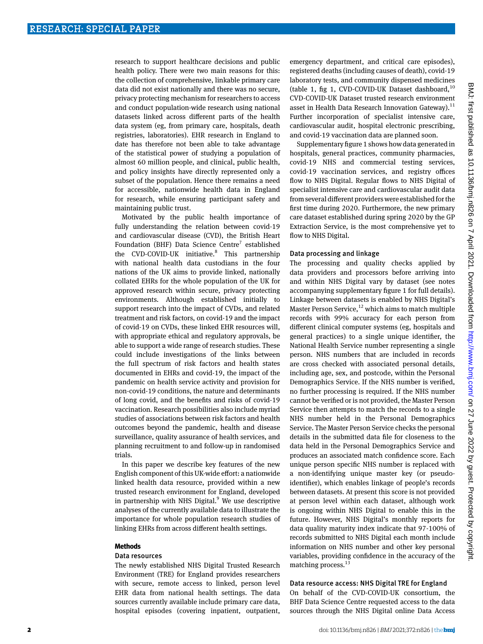research to support healthcare decisions and public health policy. There were two main reasons for this: the collection of comprehensive, linkable primary care data did not exist nationally and there was no secure, privacy protecting mechanism for researchers to access and conduct population-wide research using national datasets linked across different parts of the health data system (eg, from primary care, hospitals, death registries, laboratories). EHR research in England to date has therefore not been able to take advantage of the statistical power of studying a population of almost 60 million people, and clinical, public health, and policy insights have directly represented only a subset of the population. Hence there remains a need for accessible, nationwide health data in England for research, while ensuring participant safety and maintaining public trust.

Motivated by the public health importance of fully understanding the relation between covid-19 and cardiovascular disease (CVD), the British Heart Foundation (BHF) Data Science Centre<sup>7</sup> established the CVD-COVID-UK initiative.<sup>8</sup> This partnership with national health data custodians in the four nations of the UK aims to provide linked, nationally collated EHRs for the whole population of the UK for approved research within secure, privacy protecting environments. Although established initially to support research into the impact of CVDs, and related treatment and risk factors, on covid-19 and the impact of covid-19 on CVDs, these linked EHR resources will, with appropriate ethical and regulatory approvals, be able to support a wide range of research studies. These could include investigations of the links between the full spectrum of risk factors and health states documented in EHRs and covid-19, the impact of the pandemic on health service activity and provision for non-covid-19 conditions, the nature and determinants of long covid, and the benefits and risks of covid-19 vaccination. Research possibilities also include myriad studies of associations between risk factors and health outcomes beyond the pandemic, health and disease surveillance, quality assurance of health services, and planning recruitment to and follow-up in randomised trials.

In this paper we describe key features of the new English component of this UK-wide effort: a nationwide linked health data resource, provided within a new trusted research environment for England, developed in partnership with NHS Digital.<sup>9</sup> We use descriptive analyses of the currently available data to illustrate the importance for whole population research studies of linking EHRs from across different health settings.

#### **Methods**

#### Data resources

The newly established NHS Digital Trusted Research Environment (TRE) for England provides researchers with secure, remote access to linked, person level EHR data from national health settings. The data sources currently available include primary care data, hospital episodes (covering inpatient, outpatient,

emergency department, and critical care episodes), registered deaths (including causes of death), covid-19 laboratory tests, and community dispensed medicines (table 1, fig 1, CVD-COVID-UK Dataset dashboard,  $^{10}$ CVD-COVID-UK Dataset trusted research environment asset in Health Data Research Innovation Gateway).<sup>11</sup> Further incorporation of specialist intensive care, cardiovascular audit, hospital electronic prescribing, and covid-19 vaccination data are planned soon.

Supplementary figure 1 shows how data generated in hospitals, general practices, community pharmacies, covid-19 NHS and commercial testing services, covid-19 vaccination services, and registry offices flow to NHS Digital. Regular flows to NHS Digital of specialist intensive care and cardiovascular audit data from several different providers were established for the first time during 2020. Furthermore, the new primary care dataset established during spring 2020 by the GP Extraction Service, is the most comprehensive yet to flow to NHS Digital.

#### Data processing and linkage

The processing and quality checks applied by data providers and processors before arriving into and within NHS Digital vary by dataset (see notes accompanying supplementary figure 1 for full details). Linkage between datasets is enabled by NHS Digital's Master Person Service, $12$  which aims to match multiple records with 99% accuracy for each person from different clinical computer systems (eg, hospitals and general practices) to a single unique identifier, the National Health Service number representing a single person. NHS numbers that are included in records are cross checked with associated personal details, including age, sex, and postcode, within the Personal Demographics Service. If the NHS number is verified, no further processing is required. If the NHS number cannot be verified or is not provided, the Master Person Service then attempts to match the records to a single NHS number held in the Personal Demographics Service. The Master Person Service checks the personal details in the submitted data file for closeness to the data held in the Personal Demographics Service and produces an associated match confidence score. Each unique person specific NHS number is replaced with a non-identifying unique master key (or pseudoidentifier), which enables linkage of people's records between datasets. At present this score is not provided at person level within each dataset, although work is ongoing within NHS Digital to enable this in the future. However, NHS Digital's monthly reports for data quality maturity index indicate that 97-100% of records submitted to NHS Digital each month include information on NHS number and other key personal variables, providing confidence in the accuracy of the matching process.<sup>13</sup>

#### Data resource access: NHS Digital TRE for England

On behalf of the CVD-COVID-UK consortium, the BHF Data Science Centre requested access to the data sources through the NHS Digital online Data Access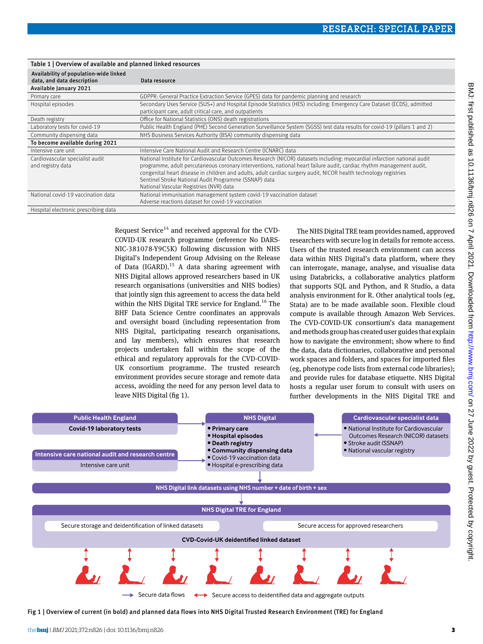| Table 1   Overview of available and planned linked resources         |                                                                                                                                                                                                                                                                                                                                                                                                                                                                          |  |  |  |  |  |  |
|----------------------------------------------------------------------|--------------------------------------------------------------------------------------------------------------------------------------------------------------------------------------------------------------------------------------------------------------------------------------------------------------------------------------------------------------------------------------------------------------------------------------------------------------------------|--|--|--|--|--|--|
| Availability of population-wide linked<br>data, and data description | Data resource                                                                                                                                                                                                                                                                                                                                                                                                                                                            |  |  |  |  |  |  |
| Available January 2021                                               |                                                                                                                                                                                                                                                                                                                                                                                                                                                                          |  |  |  |  |  |  |
| Primary care                                                         | GDPPR: General Practice Extraction Service (GPES) data for pandemic planning and research                                                                                                                                                                                                                                                                                                                                                                                |  |  |  |  |  |  |
| Hospital episodes                                                    | Secondary Uses Service (SUS+) and Hospital Episode Statistics (HES) including: Emergency Care Dataset (ECDS), admitted<br>participant care, adult critical care, and outpatients                                                                                                                                                                                                                                                                                         |  |  |  |  |  |  |
| Death registry                                                       | Office for National Statistics (ONS) death registrations                                                                                                                                                                                                                                                                                                                                                                                                                 |  |  |  |  |  |  |
| Laboratory tests for covid-19                                        | Public Health England (PHE) Second Generation Surveillance System (SGSS) test data results for covid-19 (pillars 1 and 2)                                                                                                                                                                                                                                                                                                                                                |  |  |  |  |  |  |
| Community dispensing data                                            | NHS Business Services Authority (BSA) community dispensing data                                                                                                                                                                                                                                                                                                                                                                                                          |  |  |  |  |  |  |
| To become available during 2021                                      |                                                                                                                                                                                                                                                                                                                                                                                                                                                                          |  |  |  |  |  |  |
| Intensive care unit                                                  | Intensive Care National Audit and Research Centre (ICNARC) data                                                                                                                                                                                                                                                                                                                                                                                                          |  |  |  |  |  |  |
| Cardiovascular specialist audit<br>and registry data                 | National Institute for Cardiovascular Outcomes Research (NICOR) datasets including: myocardial infarction national audit<br>programme, adult percutaneous coronary interventions, national heart failure audit, cardiac rhythm management audit,<br>congenital heart disease in children and adults, adult cardiac surgery audit, NICOR health technology registries<br>Sentinel Stroke National Audit Programme (SSNAP) data<br>National Vascular Registries (NVR) data |  |  |  |  |  |  |
| National covid-19 vaccination data                                   | National immunisation management system covid-19 vaccination dataset<br>Adverse reactions dataset for covid-19 vaccination                                                                                                                                                                                                                                                                                                                                               |  |  |  |  |  |  |
| Hospital electronic prescribing data                                 |                                                                                                                                                                                                                                                                                                                                                                                                                                                                          |  |  |  |  |  |  |

Request Service<sup>14</sup> and received approval for the CVD-COVID-UK research programme (reference No DARS-NIC-381078-Y9C5K) following discussion with NHS Digital's Independent Group Advising on the Release of Data (IGARD). $15$  A data sharing agreement with NHS Digital allows approved researchers based in UK research organisations (universities and NHS bodies) that jointly sign this agreement to access the data held within the NHS Digital TRE service for England.<sup>16</sup> The BHF Data Science Centre coordinates an approvals and oversight board (including representation from NHS Digital, participating research organisations, and lay members), which ensures that research projects undertaken fall within the scope of the ethical and regulatory approvals for the CVD-COVID-UK consortium programme. The trusted research environment provides secure storage and remote data access, avoiding the need for any person level data to leave NHS Digital (fig 1).

The NHS Digital TRE team provides named, approved researchers with secure log in details for remote access. Users of the trusted research environment can access data within NHS Digital's data platform, where they can interrogate, manage, analyse, and visualise data using Databricks, a collaborative analytics platform that supports SQL and Python, and R Studio, a data analysis environment for R. Other analytical tools (eg, Stata) are to be made available soon. Flexible cloud compute is available through Amazon Web Services. The CVD-COVID-UK consortium's data management and methods group has created user guides that explain how to navigate the environment; show where to find the data, data dictionaries, collaborative and personal work spaces and folders, and spaces for imported files (eg, phenotype code lists from external code libraries); and provide rules for database etiquette. NHS Digital hosts a regular user forum to consult with users on further developments in the NHS Digital TRE and



Fig 1 | Overview of current (in bold) and planned data flows into NHS Digital Trusted Research Environment (TRE) for England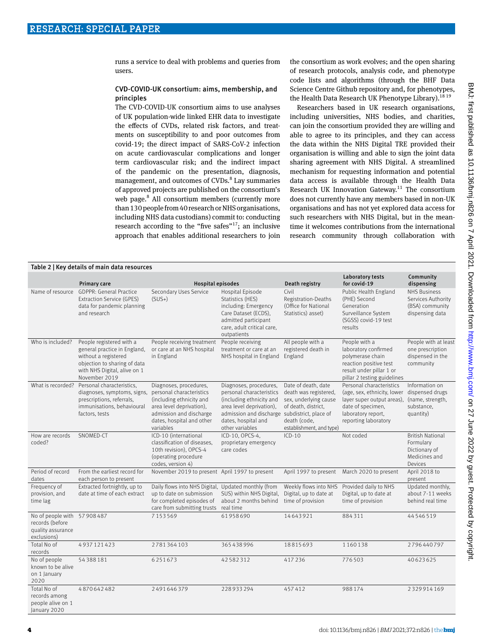runs a service to deal with problems and queries from users.

## CVD-COVID-UK consortium: aims, membership, and principles

The CVD-COVID-UK consortium aims to use analyses of UK population-wide linked EHR data to investigate the effects of CVDs, related risk factors, and treatments on susceptibility to and poor outcomes from covid-19; the direct impact of SARS-CoV-2 infection on acute cardiovascular complications and longer term cardiovascular risk; and the indirect impact of the pandemic on the presentation, diagnosis, management, and outcomes of CVDs.<sup>8</sup> Lay summaries of approved projects are published on the consortium's web page.<sup>8</sup> All consortium members (currently more than 130 people from 40 research or NHS organisations, including NHS data custodians) commit to: conducting research according to the "five safes"<sup>17</sup>; an inclusive approach that enables additional researchers to join

the consortium as work evolves; and the open sharing of research protocols, analysis code, and phenotype code lists and algorithms (through the BHF Data Science Centre Github repository and, for phenotypes, the Health Data Research UK Phenotype Library).<sup>18 19</sup>

Researchers based in UK research organisations, including universities, NHS bodies, and charities, can join the consortium provided they are willing and able to agree to its principles, and they can access the data within the NHS Digital TRE provided their organisation is willing and able to sign the joint data sharing agreement with NHS Digital. A streamlined mechanism for requesting information and potential data access is available through the Health Data Research UK Innovation Gateway.<sup>11</sup> The consortium does not currently have any members based in non-UK organisations and has not yet explored data access for such researchers with NHS Digital, but in the meantime it welcomes contributions from the international research community through collaboration with

| Table 2   Key details of main data resources                                        |                                                                                                                                                                   |                                                                                                                                                                                 |                                                                                                                                                                                                       |                                                                                                                                          |                                                                                                                                                                          |                                                                                   |  |  |  |
|-------------------------------------------------------------------------------------|-------------------------------------------------------------------------------------------------------------------------------------------------------------------|---------------------------------------------------------------------------------------------------------------------------------------------------------------------------------|-------------------------------------------------------------------------------------------------------------------------------------------------------------------------------------------------------|------------------------------------------------------------------------------------------------------------------------------------------|--------------------------------------------------------------------------------------------------------------------------------------------------------------------------|-----------------------------------------------------------------------------------|--|--|--|
|                                                                                     | Primary care                                                                                                                                                      | <b>Hospital episodes</b>                                                                                                                                                        |                                                                                                                                                                                                       | Death registry                                                                                                                           | <b>Laboratory tests</b><br>for covid-19                                                                                                                                  | Community<br>dispensing                                                           |  |  |  |
|                                                                                     | Name of resource GDPPR: General Practice<br><b>Extraction Service (GPES)</b><br>data for pandemic planning<br>and research                                        | Secondary Uses Service<br>$(SUS+)$                                                                                                                                              | Hospital Episode<br>Statistics (HES)<br>including: Emergency<br>Care Dataset (ECDS),<br>admitted participant<br>care, adult critical care,<br>outpatients                                             | Civil<br>Registration-Deaths<br>(Office for National<br>Statistics) asset)                                                               | Public Health England<br>(PHE) Second<br>Generation<br>Surveillance System<br>(SGSS) covid-19 test<br>results                                                            | <b>NHS Business</b><br>Services Authority<br>(BSA) community<br>dispensing data   |  |  |  |
| Who is included?                                                                    | People registered with a<br>general practice in England,<br>without a registered<br>objection to sharing of data<br>with NHS Digital, alive on 1<br>November 2019 | People receiving treatment<br>or care at an NHS hospital<br>in England                                                                                                          | People receiving<br>treatment or care at an<br>NHS hospital in England                                                                                                                                | All people with a<br>registered death in<br>England                                                                                      | People with a<br>laboratory confirmed<br>polymerase chain<br>reaction positive test<br>result under pillar 1 or<br>pillar 2 testing guidelines                           | People with at least<br>one prescription<br>dispensed in the<br>community         |  |  |  |
|                                                                                     | What is recorded? Personal characteristics,<br>diagnoses, symptoms, signs,<br>prescriptions, referrals,<br>immunisations, behavioural<br>factors, tests           | Diagnoses, procedures,<br>personal characteristics<br>(including ethnicity and<br>area level deprivation),<br>admission and discharge<br>dates, hospital and other<br>variables | Diagnoses, procedures,<br>personal characteristics<br>(including ethnicity and<br>area level deprivation),<br>admission and discharge subdistrict, place of<br>dates, hospital and<br>other variables | Date of death, date<br>death was registered,<br>sex, underlying cause<br>of death, district,<br>death (code,<br>establishment, and type) | Personal characteristics<br>(age, sex, ethnicity, lower dispensed drugs<br>layer super output areas),<br>date of specimen,<br>laboratory report,<br>reporting laboratory | Information on<br>(name, strength,<br>substance,<br>quantity)                     |  |  |  |
| How are records<br>coded?                                                           | SNOMED-CT                                                                                                                                                         | ICD-10 (international<br>classification of diseases.<br>10th revision), OPCS-4<br>(operating procedure<br>codes, version 4)                                                     | ICD-10, OPCS-4,<br>proprietary emergency<br>care codes                                                                                                                                                | $ICD-10$                                                                                                                                 | Not coded                                                                                                                                                                | <b>British National</b><br>Formulary<br>Dictionary of<br>Medicines and<br>Devices |  |  |  |
| Period of record<br>dates                                                           | From the earliest record for<br>each person to present                                                                                                            | November 2019 to present April 1997 to present                                                                                                                                  |                                                                                                                                                                                                       | April 1997 to present                                                                                                                    | March 2020 to present                                                                                                                                                    | April 2018 to<br>present                                                          |  |  |  |
| Frequency of<br>provision, and<br>time lag                                          | Extracted fortnightly, up to<br>date at time of each extract                                                                                                      | Daily flows into NHS Digital, Updated monthly (from<br>up to date on submission<br>for completed episodes of<br>care from submitting trusts real time                           | SUS) within NHS Digital,<br>about 2 months behind                                                                                                                                                     | Weekly flows into NHS<br>Digital, up to date at<br>time of provision                                                                     | Provided daily to NHS<br>Digital, up to date at<br>time of provision                                                                                                     | Updated monthly,<br>about 7-11 weeks<br>behind real time                          |  |  |  |
| No of people with 57 908 487<br>records (before<br>quality assurance<br>exclusions) |                                                                                                                                                                   | 7153569                                                                                                                                                                         | 61958690                                                                                                                                                                                              | 14643921                                                                                                                                 | 884311                                                                                                                                                                   | 44546519                                                                          |  |  |  |
| Total No of<br>records                                                              | 4937121423                                                                                                                                                        | 2781364103                                                                                                                                                                      | 365438996                                                                                                                                                                                             | 18815693                                                                                                                                 | 1160138                                                                                                                                                                  | 2796440797                                                                        |  |  |  |
| No of people<br>known to be alive<br>on 1 January<br>2020                           | 54388181                                                                                                                                                          | 6251673                                                                                                                                                                         | 42582312                                                                                                                                                                                              | 417236                                                                                                                                   | 776503                                                                                                                                                                   | 40623625                                                                          |  |  |  |
| Total No of<br>records among<br>people alive on 1<br>January 2020                   | 4870642482                                                                                                                                                        | 2491646379                                                                                                                                                                      | 228933294                                                                                                                                                                                             | 457412                                                                                                                                   | 988174                                                                                                                                                                   | 2329914169                                                                        |  |  |  |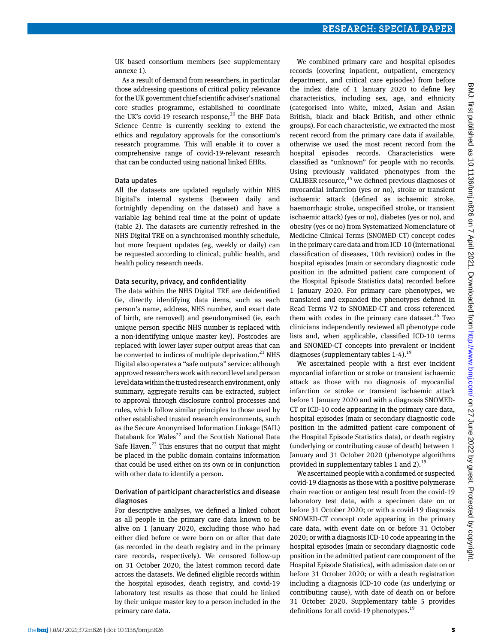UK based consortium members (see supplementary annexe 1).

As a result of demand from researchers, in particular those addressing questions of critical policy relevance for the UK government chief scientific adviser's national core studies programme, established to coordinate the UK's covid-19 research response,<sup>20</sup> the BHF Data Science Centre is currently seeking to extend the ethics and regulatory approvals for the consortium's research programme. This will enable it to cover a comprehensive range of covid-19-relevant research that can be conducted using national linked EHRs.

#### Data updates

All the datasets are updated regularly within NHS Digital's internal systems (between daily and fortnightly depending on the dataset) and have a variable lag behind real time at the point of update (table 2). The datasets are currently refreshed in the NHS Digital TRE on a synchronised monthly schedule, but more frequent updates (eg, weekly or daily) can be requested according to clinical, public health, and health policy research needs.

#### Data security, privacy, and confidentiality

The data within the NHS Digital TRE are deidentified (ie, directly identifying data items, such as each person's name, address, NHS number, and exact date of birth, are removed) and pseudonymised (ie, each unique person specific NHS number is replaced with a non-identifying unique master key). Postcodes are replaced with lower layer super output areas that can be converted to indices of multiple deprivation. $21$  NHS Digital also operates a "safe outputs" service: although approved researchers work with record level and person level data within the trusted research environment, only summary, aggregate results can be extracted, subject to approval through disclosure control processes and rules, which follow similar principles to those used by other established trusted research environments, such as the Secure Anonymised Information Linkage (SAIL) Databank for Wales $^{22}$  and the Scottish National Data Safe Haven. $^{23}$  This ensures that no output that might be placed in the public domain contains information that could be used either on its own or in conjunction with other data to identify a person.

## Derivation of participant characteristics and disease diagnoses

For descriptive analyses, we defined a linked cohort as all people in the primary care data known to be alive on 1 January 2020, excluding those who had either died before or were born on or after that date (as recorded in the death registry and in the primary care records, respectively). We censored follow-up on 31 October 2020, the latest common record date across the datasets. We defined eligible records within the hospital episodes, death registry, and covid-19 laboratory test results as those that could be linked by their unique master key to a person included in the primary care data.

We combined primary care and hospital episodes records (covering inpatient, outpatient, emergency department, and critical care episodes) from before the index date of 1 January 2020 to define key characteristics, including sex, age, and ethnicity (categorised into white, mixed, Asian and Asian British, black and black British, and other ethnic groups). For each characteristic, we extracted the most recent record from the primary care data if available, otherwise we used the most recent record from the hospital episodes records. Characteristics were classified as "unknown" for people with no records. Using previously validated phenotypes from the CALIBER resource, $24$  we defined previous diagnoses of myocardial infarction (yes or no), stroke or transient ischaemic attack (defined as ischaemic stroke, haemorrhagic stroke, unspecified stroke, or transient ischaemic attack) (yes or no), diabetes (yes or no), and obesity (yes or no) from Systematized Nomenclature of Medicine Clinical Terms (SNOMED-CT) concept codes in the primary care data and from ICD-10 (international classification of diseases, 10th revision) codes in the hospital episodes (main or secondary diagnostic code position in the admitted patient care component of the Hospital Episode Statistics data) recorded before 1 January 2020. For primary care phenotypes, we translated and expanded the phenotypes defined in Read Terms V2 to SNOMED-CT and cross referenced them with codes in the primary care dataset. $25$  Two clinicians independently reviewed all phenotype code lists and, when applicable, classified ICD-10 terms and SNOMED-CT concepts into prevalent or incident diagnoses (supplementary tables  $1-4$ ).<sup>19</sup>

We ascertained people with a first ever incident myocardial infarction or stroke or transient ischaemic attack as those with no diagnosis of myocardial infarction or stroke or transient ischaemic attack before 1 January 2020 and with a diagnosis SNOMED-CT or ICD-10 code appearing in the primary care data, hospital episodes (main or secondary diagnostic code position in the admitted patient care component of the Hospital Episode Statistics data), or death registry (underlying or contributing cause of death) between 1 January and 31 October 2020 (phenotype algorithms provided in supplementary tables 1 and 2). $^{19}$ 

We ascertained people with a confirmed or suspected covid-19 diagnosis as those with a positive polymerase chain reaction or antigen test result from the covid-19 laboratory test data, with a specimen date on or before 31 October 2020; or with a covid-19 diagnosis SNOMED-CT concept code appearing in the primary care data, with event date on or before 31 October 2020; or with a diagnosis ICD-10 code appearing in the hospital episodes (main or secondary diagnostic code position in the admitted patient care component of the Hospital Episode Statistics), with admission date on or before 31 October 2020; or with a death registration including a diagnosis ICD-10 code (as underlying or contributing cause), with date of death on or before 31 October 2020. Supplementary table 5 provides definitions for all covid-19 phenotypes.<sup>19</sup>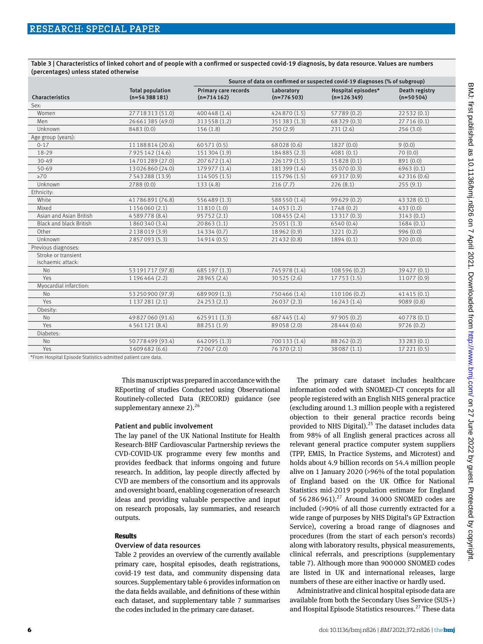Table 3 | Characteristics of linked cohort and of people with a confirmed or suspected covid-19 diagnosis, by data resource. Values are numbers (percentages) unless stated otherwise

|                                                                                                                                     |                                           | Source of data on confirmed or suspected covid-19 diagnoses (% of subgroup) |                            |                                    |                               |  |  |
|-------------------------------------------------------------------------------------------------------------------------------------|-------------------------------------------|-----------------------------------------------------------------------------|----------------------------|------------------------------------|-------------------------------|--|--|
| Characteristics                                                                                                                     | <b>Total population</b><br>$(n=54388181)$ | Primary care records<br>$(n=714162)$                                        | Laboratory<br>$(n=776503)$ | Hospital episodes*<br>$(n=126349)$ | Death registry<br>$(n=50504)$ |  |  |
| Sex:                                                                                                                                |                                           |                                                                             |                            |                                    |                               |  |  |
| Women                                                                                                                               | 27718313 (51.0)                           | 400 448 (1.4)                                                               | 424870 (1.5)               | 57789 (0.2)                        | 22 532 (0.1)                  |  |  |
| Men                                                                                                                                 | 26 661 385 (49.0)                         | 313558 (1.2)                                                                | 351383 (1.3)               | 68 329 (0.3)                       | 27716 (0.1)                   |  |  |
| Unknown                                                                                                                             | 8483 (0.0)                                | 156(1.8)                                                                    | 250(2.9)                   | 231(2.6)                           | 256(3.0)                      |  |  |
| Age group (years):                                                                                                                  |                                           |                                                                             |                            |                                    |                               |  |  |
| $0 - 17$                                                                                                                            | 11 188 814 (20.6)                         | 60571 (0.5)                                                                 | 68028 (0.6)                | 1827 (0.0)                         | 9(0.0)                        |  |  |
| 18-29                                                                                                                               | 7925142 (14.6)                            | 151304 (1.9)                                                                | 184885 (2.3)               | 4081(0.1)                          | 70(0.0)                       |  |  |
| $30 - 49$                                                                                                                           | 14701289 (27.0)                           | 207 672 (1.4)                                                               | 226 179 (1.5)              | 15828 (0.1)                        | 891 (0.0)                     |  |  |
| 50-69                                                                                                                               | 13026860 (24.0)                           | 179 977 (1.4)                                                               | 181399 (1.4)               | 35 070 (0.3)                       | 6963(0.1)                     |  |  |
| $\geq 70$                                                                                                                           | 7543288 (13.9)                            | 114 505 (1.5)                                                               | 115796 (1.5)               | 69 317 (0.9)                       | 42 316 (0.6)                  |  |  |
| Unknown                                                                                                                             | 2788 (0.0)                                | 133(4.8)                                                                    | 216(7.7)                   | 226(8.1)                           | 255(9.1)                      |  |  |
| Ethnicity:                                                                                                                          |                                           |                                                                             |                            |                                    |                               |  |  |
| White                                                                                                                               | 41786891 (76.8)                           | 556489 (1.3)                                                                | 588 550 (1.4)              | 99629 (0.2)                        | 43 328 (0.1)                  |  |  |
| Mixed                                                                                                                               | 1156060 (2.1)                             | 11810 (1.0)                                                                 | 14053(1.2)                 | 1748 (0.2)                         | 433(0.0)                      |  |  |
| Asian and Asian British                                                                                                             | 4589778 (8.4)                             | 95752 (2.1)                                                                 | 108 455 (2.4)              | 13 317 (0.3)                       | 3143(0.1)                     |  |  |
| <b>Black and black British</b>                                                                                                      | 1860340 (3.4)                             | 20863(1.1)                                                                  | 25051(1.3)                 | 6540 (0.4)                         | 1684(0.1)                     |  |  |
| Other                                                                                                                               | 2138019 (3.9)                             | 14334 (0.7)                                                                 | 18962 (0.9)                | 3221 (0.2)                         | 996(0.0)                      |  |  |
| Unknown                                                                                                                             | 2857093 (5.3)                             | 14914 (0.5)                                                                 | 21432 (0.8)                | 1894(0.1)                          | 920(0.0)                      |  |  |
| Previous diagnoses:                                                                                                                 |                                           |                                                                             |                            |                                    |                               |  |  |
| Stroke or transient<br>ischaemic attack:                                                                                            |                                           |                                                                             |                            |                                    |                               |  |  |
| <b>No</b>                                                                                                                           | 53 191 717 (97.8)                         | 685 197 (1.3)                                                               | 745 978 (1.4)              | 108 5 96 (0.2)                     | 39 4 27 (0.1)                 |  |  |
| Yes                                                                                                                                 | 1196464 (2.2)                             | 28965 (2.4)                                                                 | 30525 (2.6)                | 17753(1.5)                         | 11077 (0.9)                   |  |  |
| Myocardial infarction:                                                                                                              |                                           |                                                                             |                            |                                    |                               |  |  |
| No                                                                                                                                  | 53 250 900 (97.9)                         | 689 909 (1.3)                                                               | 750466 (1.4)               | 110 106 (0.2)                      | 41415 (0.1)                   |  |  |
| Yes                                                                                                                                 | 1137281 (2.1)                             | 24253(2.1)                                                                  | 26037(2.3)                 | 16243(1.4)                         | 9089(0.8)                     |  |  |
| Obesity:                                                                                                                            |                                           |                                                                             |                            |                                    |                               |  |  |
| No                                                                                                                                  | 49 827 060 (91.6)                         | 625 911 (1.3)                                                               | 687 445 (1.4)              | 97 905 (0.2)                       | 40778 (0.1)                   |  |  |
| Yes                                                                                                                                 | 4561121 (8.4)                             | 88251 (1.9)                                                                 | 89058 (2.0)                | 28 4 4 4 (0.6)                     | 9726(0.2)                     |  |  |
| Diabetes:                                                                                                                           |                                           |                                                                             |                            |                                    |                               |  |  |
| <b>No</b>                                                                                                                           | 50778499 (93.4)                           | 642095 (1.3)                                                                | 700 133 (1.4)              | 88 262 (0.2)                       | 33 283 (0.1)                  |  |  |
| Yes                                                                                                                                 | 3609682 (6.6)                             | 72067 (2.0)                                                                 | 76370 (2.1)                | 38087 (1.1)                        | 17 221 (0.5)                  |  |  |
| the state of the property of the<br>the contract of the contract of the contract of the contract of the contract of the contract of |                                           |                                                                             |                            |                                    |                               |  |  |

From Hospital Episode Statistics-admitted patient care data

This manuscript was prepared in accordance with the REporting of studies Conducted using Observational Routinely-collected Data (RECORD) guidance (see supplementary annexe  $2$ ).<sup>26</sup>

#### Patient and public involvement

The lay panel of the UK National Institute for Health Research-BHF Cardiovascular Partnership reviews the CVD-COVID-UK programme every few months and provides feedback that informs ongoing and future research. In addition, lay people directly affected by CVD are members of the consortium and its approvals and oversight board, enabling cogeneration of research ideas and providing valuable perspective and input on research proposals, lay summaries, and research outputs.

#### **Results**

#### Overview of data resources

Table 2 provides an overview of the currently available primary care, hospital episodes, death registrations, covid-19 test data, and community dispensing data sources. Supplementary table 6 provides information on the data fields available, and definitions of these within each dataset, and supplementary table 7 summarises the codes included in the primary care dataset.

The primary care dataset includes healthcare information coded with SNOMED-CT concepts for all people registered with an English NHS general practice (excluding around 1.3 million people with a registered objection to their general practice records being provided to NHS Digital).<sup>25</sup> The dataset includes data from 98% of all English general practices across all relevant general practice computer system suppliers (TPP, EMIS, In Practice Systems, and Microtest) and holds about 4.9 billion records on 54.4 million people alive on 1 January 2020 (>96% of the total population of England based on the UK Office for National Statistics mid-2019 population estimate for England of  $56286961$ <sup>27</sup> Around 34000 SNOMED codes are included (>90% of all those currently extracted for a wide range of purposes by NHS Digital's GP Extraction Service), covering a broad range of diagnoses and procedures (from the start of each person's records) along with laboratory results, physical measurements, clinical referrals, and prescriptions (supplementary table 7). Although more than 900000 SNOMED codes are listed in UK and international releases, large numbers of these are either inactive or hardly used.

Administrative and clinical hospital episode data are available from both the Secondary Uses Service (SUS+) and Hospital Episode Statistics resources.<sup>27</sup> These data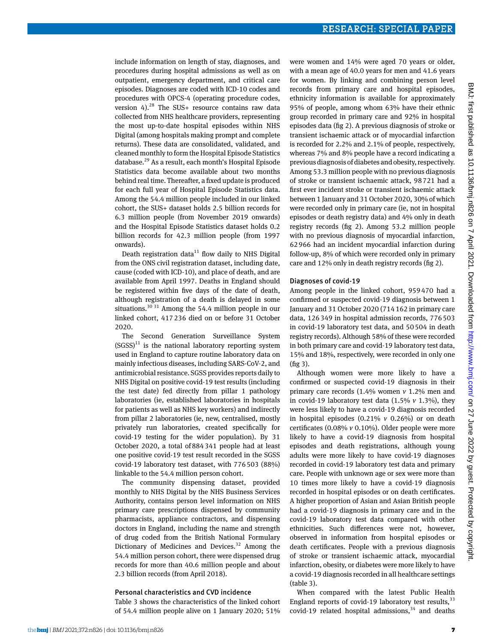include information on length of stay, diagnoses, and procedures during hospital admissions as well as on outpatient, emergency department, and critical care episodes. Diagnoses are coded with ICD-10 codes and procedures with OPCS-4 (operating procedure codes, version 4). $28$  The SUS+ resource contains raw data collected from NHS healthcare providers, representing the most up-to-date hospital episodes within NHS Digital (among hospitals making prompt and complete returns). These data are consolidated, validated, and cleaned monthly to form the Hospital Episode Statistics database.29 As a result, each month's Hospital Episode Statistics data become available about two months behind real time. Thereafter, a fixed update is produced for each full year of Hospital Episode Statistics data. Among the 54.4 million people included in our linked cohort, the SUS+ dataset holds 2.5 billion records for 6.3 million people (from November 2019 onwards) and the Hospital Episode Statistics dataset holds 0.2 billion records for 42.3 million people (from 1997 onwards).

Death registration data $^{11}$  flow daily to NHS Digital from the ONS civil registration dataset, including date, cause (coded with ICD-10), and place of death, and are available from April 1997. Deaths in England should be registered within five days of the date of death, although registration of a death is delayed in some situations.<sup>30 31</sup> Among the 54.4 million people in our linked cohort, 417236 died on or before 31 October 2020.

The Second Generation Surveillance System  $(SGSS)^{11}$  is the national laboratory reporting system used in England to capture routine laboratory data on mainly infectious diseases, including SARS-CoV-2, and antimicrobial resistance. SGSS provides reports daily to NHS Digital on positive covid-19 test results (including the test date) fed directly from pillar 1 pathology laboratories (ie, established laboratories in hospitals for patients as well as NHS key workers) and indirectly from pillar 2 laboratories (ie, new, centralised, mostly privately run laboratories, created specifically for covid-19 testing for the wider population). By 31 October 2020, a total of884341 people had at least one positive covid-19 test result recorded in the SGSS covid-19 laboratory test dataset, with 776503 (88%) linkable to the 54.4 million person cohort.

The community dispensing dataset, provided monthly to NHS Digital by the NHS Business Services Authority, contains person level information on NHS primary care prescriptions dispensed by community pharmacists, appliance contractors, and dispensing doctors in England, including the name and strength of drug coded from the British National Formulary Dictionary of Medicines and Devices.<sup>32</sup> Among the 54.4 million person cohort, there were dispensed drug records for more than 40.6 million people and about 2.3 billion records (from April 2018).

#### Personal characteristics and CVD incidence

Table 3 shows the characteristics of the linked cohort of 54.4 million people alive on 1 January 2020; 51% were women and 14% were aged 70 years or older, with a mean age of 40.0 years for men and 41.6 years for women. By linking and combining person level records from primary care and hospital episodes, ethnicity information is available for approximately 95% of people, among whom 63% have their ethnic group recorded in primary care and 92% in hospital episodes data (fig 2). A previous diagnosis of stroke or transient ischaemic attack or of myocardial infarction is recorded for 2.2% and 2.1% of people, respectively, whereas 7% and 8% people have a record indicating a previous diagnosis of diabetes and obesity, respectively. Among 53.3 million people with no previous diagnosis of stroke or transient ischaemic attack, 98721 had a first ever incident stroke or transient ischaemic attack between 1 January and 31 October 2020, 30% of which were recorded only in primary care (ie, not in hospital episodes or death registry data) and 4% only in death registry records (fig 2). Among 53.2 million people with no previous diagnosis of myocardial infarction, 62966 had an incident myocardial infarction during follow-up, 8% of which were recorded only in primary care and 12% only in death registry records (fig 2).

#### Diagnoses of covid-19

Among people in the linked cohort, 959470 had a confirmed or suspected covid-19 diagnosis between 1 January and 31 October 2020 (714162 in primary care data, 126349 in hospital admission records, 776503 in covid-19 laboratory test data, and 50504 in death registry records). Although 58% of these were recorded in both primary care and covid-19 laboratory test data, 15% and 18%, respectively, were recorded in only one (fig 3).

Although women were more likely to have a confirmed or suspected covid-19 diagnosis in their primary care records (1.4% women *v* 1.2% men and in covid-19 laboratory test data (1.5% *v* 1.3%), they were less likely to have a covid-19 diagnosis recorded in hospital episodes (0.21% *v* 0.26%) or on death certificates (0.08% *v* 0.10%). Older people were more likely to have a covid-19 diagnosis from hospital episodes and death registrations, although young adults were more likely to have covid-19 diagnoses recorded in covid-19 laboratory test data and primary care. People with unknown age or sex were more than 10 times more likely to have a covid-19 diagnosis recorded in hospital episodes or on death certificates. A higher proportion of Asian and Asian British people had a covid-19 diagnosis in primary care and in the covid-19 laboratory test data compared with other ethnicities. Such differences were not, however, observed in information from hospital episodes or death certificates. People with a previous diagnosis of stroke or transient ischaemic attack, myocardial infarction, obesity, or diabetes were more likely to have a covid-19 diagnosis recorded in all healthcare settings (table 3).

When compared with the latest Public Health England reports of covid-19 laboratory test results,  $33$ covid-19 related hospital admissions,  $34$  and deaths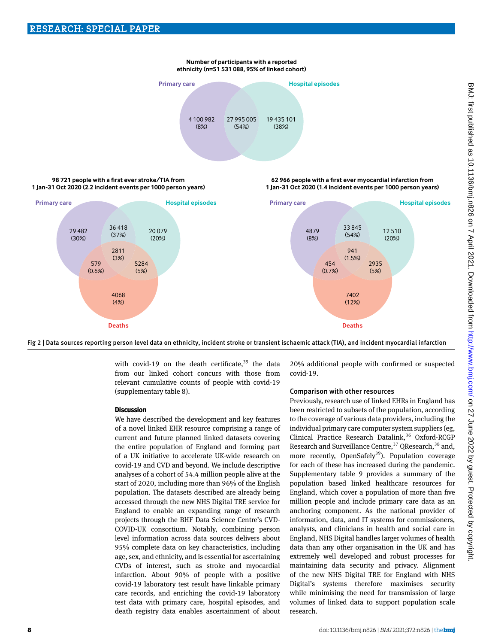## **Number of participants with a reported ethnicity (n=51 531 088, 95% of linked cohort)**



#### **98 721 people with a first ever stroke/TIA from 1 Jan-31 Oct 2020 (2.2 incident events per 1000 person years)**







with covid-19 on the death certificate, $35$  the data from our linked cohort concurs with those from relevant cumulative counts of people with covid-19 (supplementary table 8).

# **Discussion**

We have described the development and key features of a novel linked EHR resource comprising a range of current and future planned linked datasets covering the entire population of England and forming part of a UK initiative to accelerate UK-wide research on covid-19 and CVD and beyond. We include descriptive analyses of a cohort of 54.4 million people alive at the start of 2020, including more than 96% of the English population. The datasets described are already being accessed through the new NHS Digital TRE service for England to enable an expanding range of research projects through the BHF Data Science Centre's CVD-COVID-UK consortium. Notably, combining person level information across data sources delivers about 95% complete data on key characteristics, including age, sex, and ethnicity, and is essential for ascertaining CVDs of interest, such as stroke and myocardial infarction. About 90% of people with a positive covid-19 laboratory test result have linkable primary care records, and enriching the covid-19 laboratory test data with primary care, hospital episodes, and death registry data enables ascertainment of about 20% additional people with confirmed or suspected covid-19.

# Comparison with other resources

Previously, research use of linked EHRs in England has been restricted to subsets of the population, according to the coverage of various data providers, including the individual primary care computer system suppliers (eg, Clinical Practice Research Datalink,<sup>36</sup> Oxford-RCGP Research and Surveillance Centre,<sup>37</sup> QResearch,<sup>38</sup> and, more recently, OpenSafely<sup>39</sup>). Population coverage for each of these has increased during the pandemic. Supplementary table 9 provides a summary of the population based linked healthcare resources for England, which cover a population of more than five million people and include primary care data as an anchoring component. As the national provider of information, data, and IT systems for commissioners, analysts, and clinicians in health and social care in England, NHS Digital handles larger volumes of health data than any other organisation in the UK and has extremely well developed and robust processes for maintaining data security and privacy. Alignment of the new NHS Digital TRE for England with NHS Digital's systems therefore maximises security while minimising the need for transmission of large volumes of linked data to support population scale research.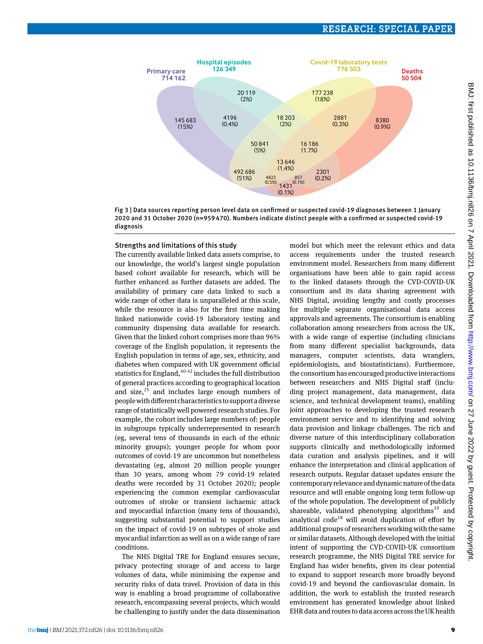

Fig 3 | Data sources reporting person level data on confirmed or suspected covid-19 diagnoses between 1 January 2020 and 31 October 2020 (n=959 470). Numbers indicate distinct people with a confirmed or suspected covid-19 diagnosis

## Strengths and limitations of this study

The currently available linked data assets comprise, to our knowledge, the world's largest single population based cohort available for research, which will be further enhanced as further datasets are added. The availability of primary care data linked to such a wide range of other data is unparalleled at this scale, while the resource is also for the first time making linked nationwide covid-19 laboratory testing and community dispensing data available for research. Given that the linked cohort comprises more than 96% coverage of the English population, it represents the English population in terms of age, sex, ethnicity, and diabetes when compared with UK government official statistics for England,<sup>40-42</sup> includes the full distribution of general practices according to geographical location and size, $25$  and includes large enough numbers of people with different characteristics to support a diverse range of statistically well powered research studies. For example, the cohort includes large numbers of: people in subgroups typically underrepresented in research (eg, several tens of thousands in each of the ethnic minority groups); younger people for whom poor outcomes of covid-19 are uncommon but nonetheless devastating (eg, almost 20 million people younger than 30 years, among whom 79 covid-19 related deaths were recorded by 31 October 2020); people experiencing the common exemplar cardiovascular outcomes of stroke or transient ischaemic attack and myocardial infarction (many tens of thousands), suggesting substantial potential to support studies on the impact of covid-19 on subtypes of stroke and myocardial infarction as well as on a wide range of rare conditions.

The NHS Digital TRE for England ensures secure, privacy protecting storage of and access to large volumes of data, while minimising the expense and security risks of data travel. Provision of data in this way is enabling a broad programme of collaborative research, encompassing several projects, which would be challenging to justify under the data dissemination model but which meet the relevant ethics and data access requirements under the trusted research environment model. Researchers from many different organisations have been able to gain rapid access to the linked datasets through the CVD-COVID-UK consortium and its data sharing agreement with NHS Digital, avoiding lengthy and costly processes for multiple separate organisational data access approvals and agreements. The consortium is enabling collaboration among researchers from across the UK, with a wide range of expertise (including clinicians from many different specialist backgrounds, data managers, computer scientists, data wranglers, epidemiologists, and biostatisticians). Furthermore, the consortium has encouraged productive interactions between researchers and NHS Digital staff (including project management, data management, data science, and technical development teams), enabling joint approaches to developing the trusted research environment service and to identifying and solving data provision and linkage challenges. The rich and diverse nature of this interdisciplinary collaboration supports clinically and methodologically informed data curation and analysis pipelines, and it will enhance the interpretation and clinical application of research outputs. Regular dataset updates ensure the contemporary relevance and dynamic nature of the data resource and will enable ongoing long term follow-up of the whole population. The development of publicly shareable, validated phenotyping algorithms<sup>19</sup> and analytical code<sup>18</sup> will avoid duplication of effort by additional groups of researchers working with the same or similar datasets. Although developed with the initial intent of supporting the CVD-COVID-UK consortium research programme, the NHS Digital TRE service for England has wider benefits, given its clear potential to expand to support research more broadly beyond covid-19 and beyond the cardiovascular domain. In addition, the work to establish the trusted research environment has generated knowledge about linked EHR data and routes to data access across the UK health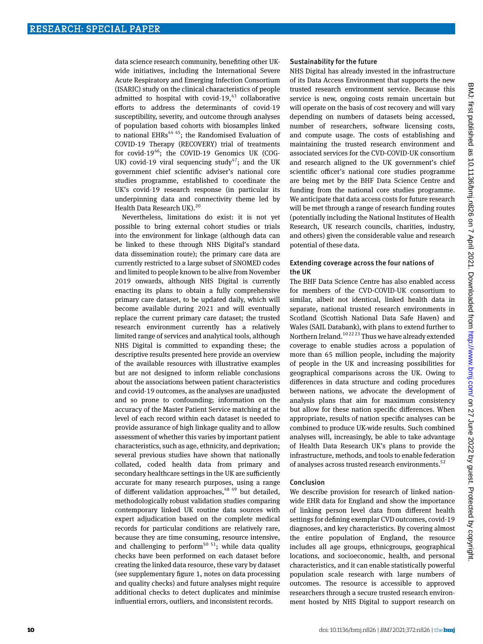data science research community, benefiting other UKwide initiatives, including the International Severe Acute Respiratory and Emerging Infection Consortium (ISARIC) study on the clinical characteristics of people admitted to hospital with covid-19, $43$  collaborative efforts to address the determinants of covid-19 susceptibility, severity, and outcome through analyses of population based cohorts with biosamples linked to national EHRs<sup>44 45</sup>; the Randomised Evaluation of COVID-19 Therapy (RECOVERY) trial of treatments for covid-19<sup>46</sup>; the COVID-19 Genomics UK (COG-UK) covid-19 viral sequencing study<sup>47</sup>; and the UK government chief scientific adviser's national core studies programme, established to coordinate the UK's covid-19 research response (in particular its underpinning data and connectivity theme led by Health Data Research UK).<sup>20</sup>

Nevertheless, limitations do exist: it is not yet possible to bring external cohort studies or trials into the environment for linkage (although data can be linked to these through NHS Digital's standard data dissemination route); the primary care data are currently restricted to a large subset of SNOMED codes and limited to people known to be alive from November 2019 onwards, although NHS Digital is currently enacting its plans to obtain a fully comprehensive primary care dataset, to be updated daily, which will become available during 2021 and will eventually replace the current primary care dataset; the trusted research environment currently has a relatively limited range of services and analytical tools, although NHS Digital is committed to expanding these; the descriptive results presented here provide an overview of the available resources with illustrative examples but are not designed to inform reliable conclusions about the associations between patient characteristics and covid-19 outcomes, as the analyses are unadjusted and so prone to confounding; information on the accuracy of the Master Patient Service matching at the level of each record within each dataset is needed to provide assurance of high linkage quality and to allow assessment of whether this varies by important patient characteristics, such as age, ethnicity, and deprivation; several previous studies have shown that nationally collated, coded health data from primary and secondary healthcare settings in the UK are sufficiently accurate for many research purposes, using a range of different validation approaches,  $4849$  but detailed, methodologically robust validation studies comparing contemporary linked UK routine data sources with expert adjudication based on the complete medical records for particular conditions are relatively rare, because they are time consuming, resource intensive, and challenging to perform<sup>50 51</sup>; while data quality checks have been performed on each dataset before creating the linked data resource, these vary by dataset (see supplementary figure 1, notes on data processing and quality checks) and future analyses might require additional checks to detect duplicates and minimise influential errors, outliers, and inconsistent records.

#### Sustainability for the future

NHS Digital has already invested in the infrastructure of its Data Access Environment that supports the new trusted research environment service. Because this service is new, ongoing costs remain uncertain but will operate on the basis of cost recovery and will vary depending on numbers of datasets being accessed, number of researchers, software licensing costs, and compute usage. The costs of establishing and maintaining the trusted research environment and associated services for the CVD-COVID-UK consortium and research aligned to the UK government's chief scientific officer's national core studies programme are being met by the BHF Data Science Centre and funding from the national core studies programme. We anticipate that data access costs for future research will be met through a range of research funding routes (potentially including the National Institutes of Health Research, UK research councils, charities, industry, and others) given the considerable value and research potential of these data.

## Extending coverage across the four nations of the UK

The BHF Data Science Centre has also enabled access for members of the CVD-COVID-UK consortium to similar, albeit not identical, linked health data in separate, national trusted research environments in Scotland (Scottish National Data Safe Haven) and Wales (SAIL Databank), with plans to extend further to Northern Ireland.10 22 23 Thus we have already extended coverage to enable studies across a population of more than 65 million people, including the majority of people in the UK and increasing possibilities for geographical comparisons across the UK. Owing to differences in data structure and coding procedures between nations, we advocate the development of analysis plans that aim for maximum consistency but allow for these nation specific differences. When appropriate, results of nation specific analyses can be combined to produce UK-wide results. Such combined analyses will, increasingly, be able to take advantage of Health Data Research UK's plans to provide the infrastructure, methods, and tools to enable federation of analyses across trusted research environments.<sup>52</sup>

## Conclusion

We describe provision for research of linked nationwide EHR data for England and show the importance of linking person level data from different health settings for defining exemplar CVD outcomes, covid-19 diagnoses, and key characteristics. By covering almost the entire population of England, the resource includes all age groups, ethnicgroups, geographical locations, and socioeconomic, health, and personal characteristics, and it can enable statistically powerful population scale research with large numbers of outcomes. The resource is accessible to approved researchers through a secure trusted research environment hosted by NHS Digital to support research on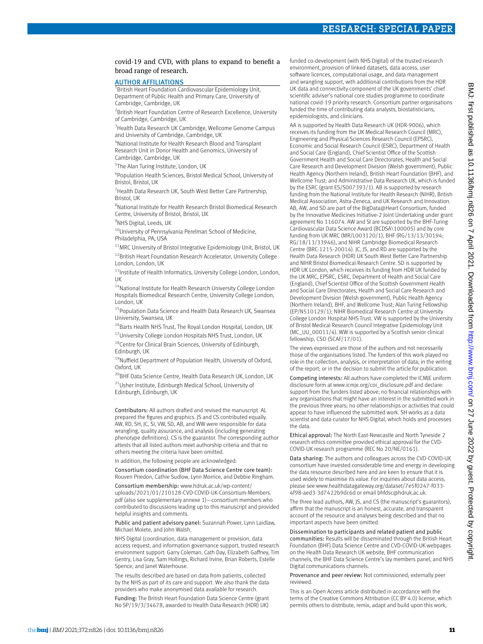## covid-19 and CVD, with plans to expand to benefit a broad range of research.

## **AUTHOR AFFILIATIONS**

<sup>1</sup>British Heart Foundation Cardiovascular Epidemiology Unit, Department of Public Health and Primary Care, University of Cambridge, Cambridge, UK

<sup>2</sup> British Heart Foundation Centre of Research Excellence, University of Cambridge, Cambridge, UK

<sup>3</sup> Health Data Research UK Cambridge, Wellcome Genome Campus and University of Cambridge, Cambridge, UK

4 National Institute for Health Research Blood and Transplant Research Unit in Donor Health and Genomics, University of Cambridge, Cambridge, UK

5 The Alan Turing Institute, London, UK

6 Population Health Sciences, Bristol Medical School, University of Bristol, Bristol, UK

<sup>7</sup> Health Data Research UK, South West Better Care Partnership, Bristol, UK

8 National Institute for Health Research Bristol Biomedical Research Centre, University of Bristol, Bristol, UK

<sup>9</sup>NHS Digital, Leeds, UK

<sup>10</sup>University of Pennsylvania Perelman School of Medicine, Philadelphia, PA, USA

 $11$ MRC University of Bristol Integrative Epidemiology Unit, Bristol, UK 12British Heart Foundation Research Accelerator, University College London, London, UK

<sup>13</sup>Institute of Health Informatics, University College London, London, UK

<sup>14</sup>National Institute for Health Research University College London Hospitals Biomedical Research Centre, University College London, London, UK

<sup>15</sup> Population Data Science and Health Data Research UK, Swansea University, Swansea, UK

<sup>16</sup>Barts Health NHS Trust, The Royal London Hospital, London, UK 17University College London Hospitals NHS Trust, London, UK

<sup>18</sup>Centre for Clinical Brain Sciences, University of Edinburgh, Edinburgh, UK

<sup>19</sup>Nuffield Department of Population Health, University of Oxford, Oxford, UK

<sup>20</sup>BHF Data Science Centre, Health Data Research UK, London, UK 21Usher Institute, Edinburgh Medical School, University of

Edinburgh, Edinburgh, UK

Contributors: All authors drafted and revised the manuscript. AL prepared the figures and graphics. JS and CS contributed equally. AW, RD, SH, JC, SI, VW, SD, AB, and WW were responsible for data wrangling, quality assurance, and analysis (including generating phenotype definitions). CS is the guarantor. The corresponding author attests that all listed authors meet authorship criteria and that no others meeting the criteria have been omitted.

In addition, the following people are acknowledged:

Consortium coordination (BHF Data Science Centre core team): Rouven Priedon, Cathie Sudlow, Lynn Morrice, and Debbie Ringham.

Consortium membership: [www.hdruk.ac.uk/wp-content/](https://www.hdruk.ac.uk/wp-content/uploads/2021/01/210128-CVD-COVID-UK-Consortium-Members.pdf) [uploads/2021/01/210128-CVD-COVID-UK-Consortium-Members.](https://www.hdruk.ac.uk/wp-content/uploads/2021/01/210128-CVD-COVID-UK-Consortium-Members.pdf) [pdf](https://www.hdruk.ac.uk/wp-content/uploads/2021/01/210128-CVD-COVID-UK-Consortium-Members.pdf) (also see supplementary annexe 1)—consortium members who contributed to discussions leading up to this manuscript and provided helpful insights and comments.

Public and patient advisory panel: Suzannah Power, Lynn Laidlaw, Michael Molete, and John Walsh.

NHS Digital (coordination, data management or provision, data access request, and information governance support, trusted research environment support: Garry Coleman, Cath Day, Elizabeth Gaffney, Tim Gentry, Lisa Gray, Sam Hollings, Richard Irvine, Brian Roberts, Estelle Spence, and Janet Waterhouse.

The results described are based on data from patients, collected by the NHS as part of its care and support. We also thank the data providers who make anonymised data available for research.

Funding: The British Heart Foundation Data Science Centre (grant No SP/19/3/34678, awarded to Health Data Research (HDR) UK)

funded co-development (with NHS Digital) of the trusted research environment, provision of linked datasets, data access, user software licences, computational usage, and data management and wrangling support, with additional contributions from the HDR UK data and connectivity component of the UK governments' chief scientific adviser's national core studies programme to coordinate national covid-19 priority research. Consortium partner organisations funded the time of contributing data analysts, biostatisticians, epidemiologists, and clinicians.

AA is supported by Health Data Research UK (HDR-9006), which receives its funding from the UK Medical Research Council (MRC), Engineering and Physical Sciences Research Council (EPSRC), Economic and Social Research Council (ESRC), Department of Health and Social Care (England), Chief Scientist Office of the Scottish Government Health and Social Care Directorates, Health and Social Care Research and Development Division (Welsh government), Public Health Agency (Northern Ireland), British Heart Foundation (BHF), and Wellcome Trust; and Administrative Data Research UK, which is funded by the ESRC (grant ES/S007393/1). AB is supported by research funding from the National Institute for Health Research (NIHR), British Medical Association, Astra-Zeneca, and UK Research and Innovation. AB, AW, and SD are part of the BigData@Heart Consortium, funded by the Innovative Medicines Initiative-2 Joint Undertaking under grant agreement No 116074. AW and SI are supported by the BHF-Turing Cardiovascular Data Science Award (BCDSA\100005) and by core funding from UK MRC (MR/L003120/1), BHF (RG/13/13/30194; RG/18/13/33946), and NIHR Cambridge Biomedical Research Centre (BRC-1215-20014). JC, JS, and RD are supported by the Health Data Research (HDR) UK South West Better Care Partnership and NIHR Bristol Biomedical Research Centre. SD is supported by HDR UK London, which receives its funding from HDR UK funded by the UK MRC, EPSRC, ESRC, Department of Health and Social Care (England), Chief Scientist Office of the Scottish Government Health and Social Care Directorates, Health and Social Care Research and Development Division (Welsh government), Public Health Agency (Northern Ireland), BHF, and Wellcome Trust; Alan Turing Fellowship (EP/N510129/1); NIHR Biomedical Research Centre at University College London Hospital NHS Trust. VW is supported by the University of Bristol Medical Research Council Integrative Epidemiology Unit (MC\_UU\_00011/4). WW is supported by a Scottish senior clinical fellowship, CSO (SCAF/17/01).

The views expressed are those of the authors and not necessarily those of the organisations listed. The funders of this work played no role in the collection, analysis, or interpretation of data; in the writing of the report; or in the decision to submit the article for publication.

Competing interests: All authors have completed the ICMJE uniform disclosure form at [www.icmje.org/coi\\_disclosure.pdf](http://www.icmje.org/coi_disclosure.pdf) and declare: support from the funders listed above; no financial relationships with any organisations that might have an interest in the submitted work in the previous three years; no other relationships or activities that could appear to have influenced the submitted work. SH works as a data scientist and data curator for NHS Digital, which holds and processes the data.

Ethical approval: The North East-Newcastle and North Tyneside 2 research ethics committee provided ethical approval for the CVD-COVID-UK research programme (REC No 20/NE/0161).

Data sharing: The authors and colleagues across the CVD-COVID-UK consortium have invested considerable time and energy in developing the data resource described here and are keen to ensure that it is used widely to maximise its value. For inquiries about data access, please see [www.healthdatagateway.org/dataset/7e5f0247-f033-](http://www.healthdatagateway.org/dataset/7e5f0247-f033-4f98-aed3-3d7422b9dc6d) [4f98-aed3-3d7422b9dc6d](http://www.healthdatagateway.org/dataset/7e5f0247-f033-4f98-aed3-3d7422b9dc6d) or email [bhfdsc@hdruk.ac.uk](mailto:bhfdsc@hdruk.ac.uk).

The three lead authors, AW, JS, and CS (the manuscript's guarantors), affirm that the manuscript is an honest, accurate, and transparent account of the resource and analyses being described and that no important aspects have been omitted.

Dissemination to participants and related patient and public communities: Results will be disseminated through the British Heart Foundation (BHF) Data Science Centre and CVD-COVID-UK webpages on the Health Data Research UK website, BHF communication channels, the BHF Data Science Centre's lay members panel, and NHS Digital communications channels.

Provenance and peer review: Not commissioned; externally peer reviewed.

This is an Open Access article distributed in accordance with the terms of the Creative Commons Attribution (CC BY 4.0) license, which permits others to distribute, remix, adapt and build upon this work,